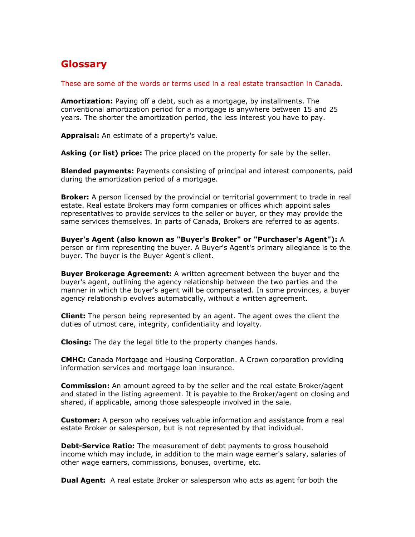## Glossary

These are some of the words or terms used in a real estate transaction in Canada.

Amortization: Paying off a debt, such as a mortgage, by installments. The conventional amortization period for a mortgage is anywhere between 15 and 25 years. The shorter the amortization period, the less interest you have to pay.

Appraisal: An estimate of a property's value.

Asking (or list) price: The price placed on the property for sale by the seller.

**Blended payments:** Payments consisting of principal and interest components, paid during the amortization period of a mortgage.

**Broker:** A person licensed by the provincial or territorial government to trade in real estate. Real estate Brokers may form companies or offices which appoint sales representatives to provide services to the seller or buyer, or they may provide the same services themselves. In parts of Canada, Brokers are referred to as agents.

Buyer's Agent (also known as "Buyer's Broker" or "Purchaser's Agent"): A person or firm representing the buyer. A Buyer's Agent's primary allegiance is to the buyer. The buyer is the Buyer Agent's client.

**Buyer Brokerage Agreement:** A written agreement between the buyer and the buyer's agent, outlining the agency relationship between the two parties and the manner in which the buyer's agent will be compensated. In some provinces, a buyer agency relationship evolves automatically, without a written agreement.

**Client:** The person being represented by an agent. The agent owes the client the duties of utmost care, integrity, confidentiality and loyalty.

**Closing:** The day the legal title to the property changes hands.

CMHC: Canada Mortgage and Housing Corporation. A Crown corporation providing information services and mortgage loan insurance.

**Commission:** An amount agreed to by the seller and the real estate Broker/agent and stated in the listing agreement. It is payable to the Broker/agent on closing and shared, if applicable, among those salespeople involved in the sale.

**Customer:** A person who receives valuable information and assistance from a real estate Broker or salesperson, but is not represented by that individual.

**Debt-Service Ratio:** The measurement of debt payments to gross household income which may include, in addition to the main wage earner's salary, salaries of other wage earners, commissions, bonuses, overtime, etc.

**Dual Agent:** A real estate Broker or salesperson who acts as agent for both the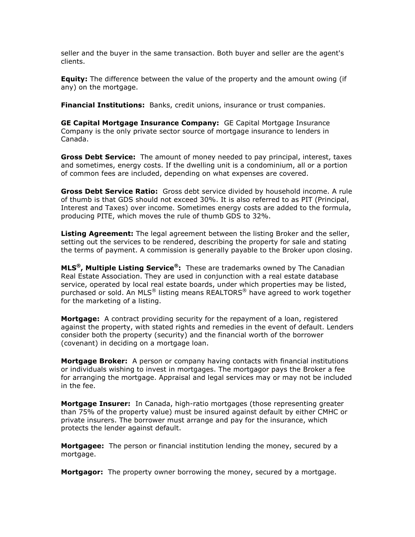seller and the buyer in the same transaction. Both buyer and seller are the agent's clients.

**Equity:** The difference between the value of the property and the amount owing (if any) on the mortgage.

**Financial Institutions:** Banks, credit unions, insurance or trust companies.

GE Capital Mortgage Insurance Company: GE Capital Mortgage Insurance Company is the only private sector source of mortgage insurance to lenders in Canada.

**Gross Debt Service:** The amount of money needed to pay principal, interest, taxes and sometimes, energy costs. If the dwelling unit is a condominium, all or a portion of common fees are included, depending on what expenses are covered.

**Gross Debt Service Ratio:** Gross debt service divided by household income. A rule of thumb is that GDS should not exceed 30%. It is also referred to as PIT (Principal, Interest and Taxes) over income. Sometimes energy costs are added to the formula, producing PITE, which moves the rule of thumb GDS to 32%.

Listing Agreement: The legal agreement between the listing Broker and the seller, setting out the services to be rendered, describing the property for sale and stating the terms of payment. A commission is generally payable to the Broker upon closing.

**MLS<sup>®</sup>, Multiple Listing Service<sup>®</sup>:** These are trademarks owned by The Canadian Real Estate Association. They are used in conjunction with a real estate database service, operated by local real estate boards, under which properties may be listed, purchased or sold. An MLS® listing means REALTORS® have agreed to work together for the marketing of a listing.

**Mortgage:** A contract providing security for the repayment of a loan, registered against the property, with stated rights and remedies in the event of default. Lenders consider both the property (security) and the financial worth of the borrower (covenant) in deciding on a mortgage loan.

**Mortgage Broker:** A person or company having contacts with financial institutions or individuals wishing to invest in mortgages. The mortgagor pays the Broker a fee for arranging the mortgage. Appraisal and legal services may or may not be included in the fee.

**Mortgage Insurer:** In Canada, high-ratio mortgages (those representing greater than 75% of the property value) must be insured against default by either CMHC or private insurers. The borrower must arrange and pay for the insurance, which protects the lender against default.

**Mortgagee:** The person or financial institution lending the money, secured by a mortgage.

**Mortgagor:** The property owner borrowing the money, secured by a mortgage.